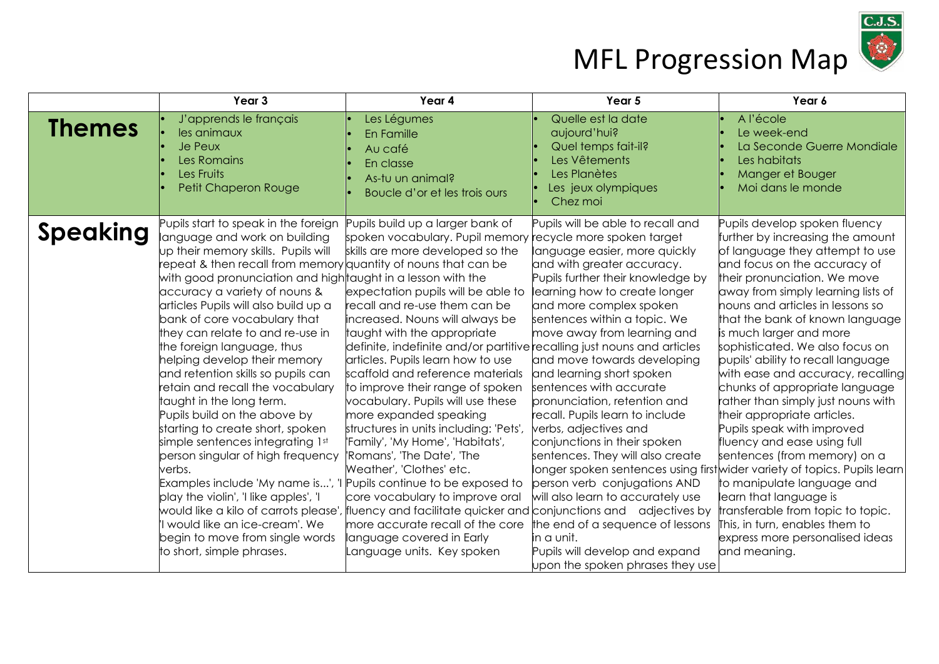

|                 | Year 3                                                                                                                                                                                                                                                                                                                                                                                                                                                                                                                                                                                                                                                                                                                                                                                                                                                                                                                                           | Year 4                                                                                                                                                                                                                                                                                                                                                                                                                                                                                                                                                                                                                                                                                                                                                                                                                                                                                 | Year 5                                                                                                                                                                                                                                                                                                                                                                                                                                                                                                                                                                                                                                                                                                                                                                                        | Year 6                                                                                                                                                                                                                                                                                                                                                                                                                                                                                                                                                                                                                                                                                                                                                                                                                                                    |
|-----------------|--------------------------------------------------------------------------------------------------------------------------------------------------------------------------------------------------------------------------------------------------------------------------------------------------------------------------------------------------------------------------------------------------------------------------------------------------------------------------------------------------------------------------------------------------------------------------------------------------------------------------------------------------------------------------------------------------------------------------------------------------------------------------------------------------------------------------------------------------------------------------------------------------------------------------------------------------|----------------------------------------------------------------------------------------------------------------------------------------------------------------------------------------------------------------------------------------------------------------------------------------------------------------------------------------------------------------------------------------------------------------------------------------------------------------------------------------------------------------------------------------------------------------------------------------------------------------------------------------------------------------------------------------------------------------------------------------------------------------------------------------------------------------------------------------------------------------------------------------|-----------------------------------------------------------------------------------------------------------------------------------------------------------------------------------------------------------------------------------------------------------------------------------------------------------------------------------------------------------------------------------------------------------------------------------------------------------------------------------------------------------------------------------------------------------------------------------------------------------------------------------------------------------------------------------------------------------------------------------------------------------------------------------------------|-----------------------------------------------------------------------------------------------------------------------------------------------------------------------------------------------------------------------------------------------------------------------------------------------------------------------------------------------------------------------------------------------------------------------------------------------------------------------------------------------------------------------------------------------------------------------------------------------------------------------------------------------------------------------------------------------------------------------------------------------------------------------------------------------------------------------------------------------------------|
| <b>Themes</b>   | J'apprends le français<br>les animaux<br><b>Je Peux</b><br>Les Romains<br>Les Fruits<br>Petit Chaperon Rouge                                                                                                                                                                                                                                                                                                                                                                                                                                                                                                                                                                                                                                                                                                                                                                                                                                     | Les Légumes<br>En Famille<br>Au café<br>En classe<br>As-tu un animal?<br>Boucle d'or et les trois ours                                                                                                                                                                                                                                                                                                                                                                                                                                                                                                                                                                                                                                                                                                                                                                                 | Quelle est la date<br>aujourd'hui?<br>Quel temps fait-il?<br>Les Vêtements<br>Les Planètes<br>Les jeux olympiques<br>Chez moi                                                                                                                                                                                                                                                                                                                                                                                                                                                                                                                                                                                                                                                                 | A l'école<br>Le week-end<br>La Seconde Guerre Mondiale<br>Les habitats<br>Manger et Bouger<br>Moi dans le monde                                                                                                                                                                                                                                                                                                                                                                                                                                                                                                                                                                                                                                                                                                                                           |
| <b>Speaking</b> | Pupils start to speak in the foreign<br>language and work on building<br>up their memory skills. Pupils will<br>repeat & then recall from memory quantity of nouns that can be<br>with good pronunciation and high taught in a lesson with the<br>accuracy a variety of nouns &<br>articles Pupils will also build up a<br>bank of core vocabulary that<br>they can relate to and re-use in<br>the foreign language, thus<br>helping develop their memory<br>and retention skills so pupils can<br>retain and recall the vocabulary<br>taught in the long term.<br>Pupils build on the above by<br>starting to create short, spoken<br>simple sentences integrating 1st<br>person singular of high frequency<br>verbs.<br>Examples include 'My name is', 'I<br>play the violin', 'I like apples', 'I<br>would like a kilo of carrots please',<br>'I would like an ice-cream'. We<br>begin to move from single words<br>to short, simple phrases. | Pupils build up a larger bank of<br>spoken vocabulary. Pupil memory recycle more spoken target<br>skills are more developed so the<br>expectation pupils will be able to<br>recall and re-use them can be<br>increased. Nouns will always be<br>taught with the appropriate<br>definite, indefinite and/or partitive recalling just nouns and articles<br>articles. Pupils learn how to use<br>scaffold and reference materials<br>to improve their range of spoken<br>vocabulary. Pupils will use these<br>more expanded speaking<br>structures in units including: 'Pets',<br>'Family', 'My Home', 'Habitats',<br>'Romans', 'The Date', 'The<br>Weather', 'Clothes' etc.<br>Pupils continue to be exposed to<br>core vocabulary to improve oral<br>fluency and facilitate quicker and<br>more accurate recall of the core<br>language covered in Early<br>Language units. Key spoken | Pupils will be able to recall and<br>language easier, more quickly<br>and with greater accuracy.<br>Pupils further their knowledge by<br>learning how to create longer<br>and more complex spoken<br>sentences within a topic. We<br>move away from learning and<br>and move towards developing<br>and learning short spoken<br>sentences with accurate<br>pronunciation, retention and<br>recall. Pupils learn to include<br>verbs, adjectives and<br>conjunctions in their spoken<br>sentences. They will also create<br>longer spoken sentences using first<br>person verb conjugations AND<br>will also learn to accurately use<br>conjunctions and adjectives by<br>the end of a sequence of lessons<br>in a unit.<br>Pupils will develop and expand<br>upon the spoken phrases they use | Pupils develop spoken fluency<br>further by increasing the amount<br>of language they attempt to use<br>and focus on the accuracy of<br>their pronunciation. We move<br>away from simply learning lists of<br>nouns and articles in lessons so<br>that the bank of known language<br>is much larger and more<br>sophisticated. We also focus on<br>pupils' ability to recall language<br>with ease and accuracy, recalling<br>chunks of appropriate language<br>rather than simply just nouns with<br>their appropriate articles.<br>Pupils speak with improved<br>fluency and ease using full<br>sentences (from memory) on a<br>wider variety of topics. Pupils learn<br>to manipulate language and<br>learn that language is<br>transferable from topic to topic.<br>This, in turn, enables them to<br>express more personalised ideas<br>and meaning. |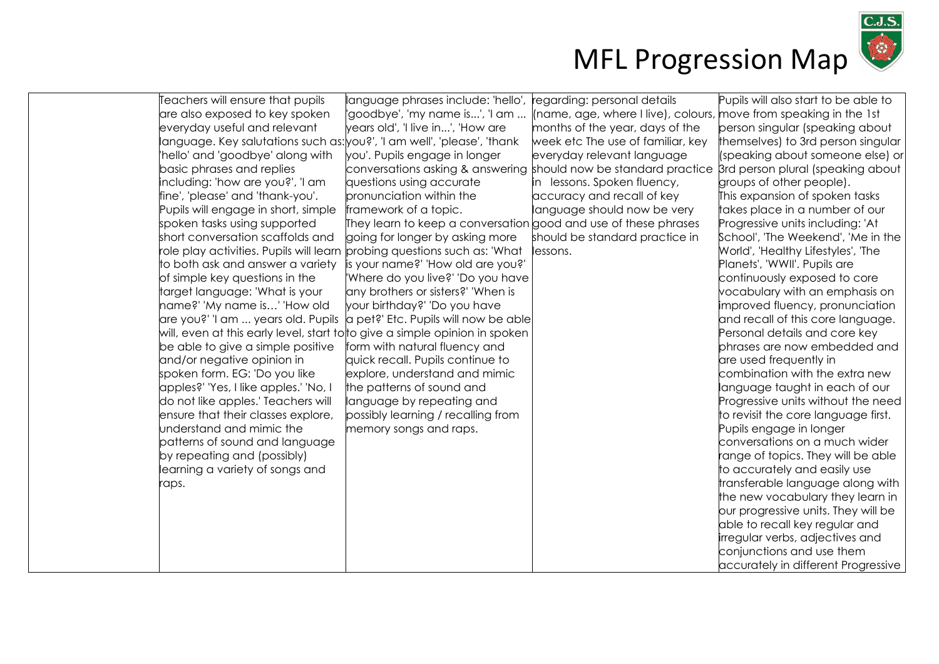

| Teachers will ensure that pupils                                         | language phrases include: 'hello',                                                | regarding: personal details                                       | Pupils will also start to be able to |
|--------------------------------------------------------------------------|-----------------------------------------------------------------------------------|-------------------------------------------------------------------|--------------------------------------|
| are also exposed to key spoken                                           | 'goodbye', 'my name is', 'I am                                                    | (name, age, where I live), colours, move from speaking in the 1st |                                      |
| everyday useful and relevant                                             | years old', 'I live in', 'How are                                                 | months of the year, days of the                                   | person singular (speaking about      |
| language. Key salutations such as: you?', 'I am well', 'please', 'thank  |                                                                                   | week etc The use of familiar, key                                 | themselves) to 3rd person singular   |
| 'hello' and 'goodbye' along with                                         | you'. Pupils engage in longer                                                     | everyday relevant language                                        | (speaking about someone else) or     |
| basic phrases and replies                                                | conversations asking & answering should now be standard practice                  |                                                                   | 3rd person plural (speaking about)   |
| including: 'how are you?', 'I am                                         | questions using accurate                                                          | in lessons. Spoken fluency,                                       | groups of other people).             |
| fine', 'please' and 'thank-you'.                                         | pronunciation within the                                                          | accuracy and recall of key                                        | This expansion of spoken tasks       |
| Pupils will engage in short, simple                                      | framework of a topic.                                                             | language should now be very                                       | takes place in a number of our       |
| spoken tasks using supported                                             | They learn to keep a conversation $\operatorname*{good}$ and use of these phrases |                                                                   | Progressive units including: 'At     |
| short conversation scaffolds and                                         | going for longer by asking more                                                   | should be standard practice in                                    | School', 'The Weekend', 'Me in the   |
| role play activities. Pupils will learn probing questions such as: 'What |                                                                                   | lessons.                                                          | World', 'Healthy Lifestyles', 'The   |
| to both ask and answer a variety is your name?' 'How old are you?'       |                                                                                   |                                                                   | Planets', 'WWII'. Pupils are         |
| of simple key questions in the                                           | 'Where do you live?' 'Do you have                                                 |                                                                   | continuously exposed to core         |
| target language: 'What is your                                           | any brothers or sisters?' 'When is                                                |                                                                   | vocabulary with an emphasis on       |
| name?' 'My name is' 'How old                                             | your birthday?' 'Do you have                                                      |                                                                   | improved fluency, pronunciation      |
| are you?' 'I am  years old. Pupils                                       | a pet?' Etc. Pupils will now be able                                              |                                                                   | and recall of this core language.    |
|                                                                          | will, even at this early level, start to to give a simple opinion in spoken       |                                                                   | Personal details and core key        |
| be able to give a simple positive                                        | form with natural fluency and                                                     |                                                                   | phrases are now embedded and         |
| and/or negative opinion in                                               | quick recall. Pupils continue to                                                  |                                                                   | are used frequently in               |
| spoken form. EG: 'Do you like                                            | explore, understand and mimic                                                     |                                                                   | combination with the extra new       |
| apples?' 'Yes, I like apples.' 'No, I                                    | the patterns of sound and                                                         |                                                                   | language taught in each of our       |
| do not like apples.' Teachers will                                       | language by repeating and                                                         |                                                                   | Progressive units without the need   |
| ensure that their classes explore,                                       | possibly learning / recalling from                                                |                                                                   | to revisit the core language first.  |
| understand and mimic the                                                 | memory songs and raps.                                                            |                                                                   | Pupils engage in longer              |
| patterns of sound and language                                           |                                                                                   |                                                                   | conversations on a much wider        |
| by repeating and (possibly)                                              |                                                                                   |                                                                   | range of topics. They will be able   |
| learning a variety of songs and                                          |                                                                                   |                                                                   | to accurately and easily use         |
| raps.                                                                    |                                                                                   |                                                                   | transferable language along with     |
|                                                                          |                                                                                   |                                                                   | the new vocabulary they learn in     |
|                                                                          |                                                                                   |                                                                   | our progressive units. They will be  |
|                                                                          |                                                                                   |                                                                   | able to recall key regular and       |
|                                                                          |                                                                                   |                                                                   | irregular verbs, adjectives and      |
|                                                                          |                                                                                   |                                                                   | conjunctions and use them            |
|                                                                          |                                                                                   |                                                                   | accurately in different Progressive  |
|                                                                          |                                                                                   |                                                                   |                                      |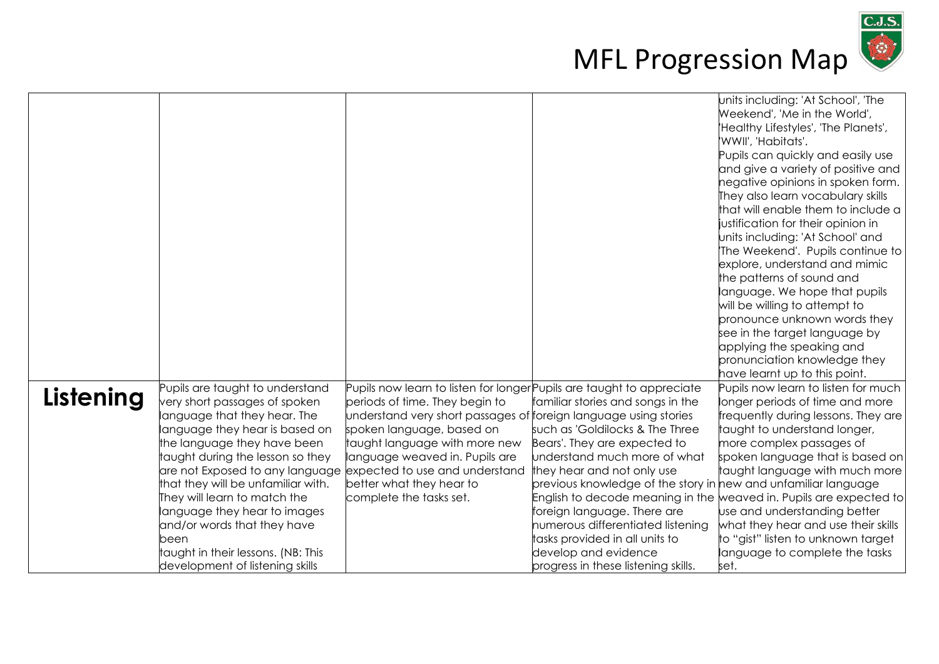

|           |                                                                  |                                                                                                         |                                                                | units including: 'At School', 'The                                     |
|-----------|------------------------------------------------------------------|---------------------------------------------------------------------------------------------------------|----------------------------------------------------------------|------------------------------------------------------------------------|
|           |                                                                  |                                                                                                         |                                                                | Weekend', 'Me in the World',                                           |
|           |                                                                  |                                                                                                         |                                                                | 'Healthy Lifestyles', 'The Planets',                                   |
|           |                                                                  |                                                                                                         |                                                                | 'WWII', 'Habitats'.                                                    |
|           |                                                                  |                                                                                                         |                                                                | Pupils can quickly and easily use                                      |
|           |                                                                  |                                                                                                         |                                                                | and give a variety of positive and                                     |
|           |                                                                  |                                                                                                         |                                                                | negative opinions in spoken form.                                      |
|           |                                                                  |                                                                                                         |                                                                | They also learn vocabulary skills                                      |
|           |                                                                  |                                                                                                         |                                                                | that will enable them to include a                                     |
|           |                                                                  |                                                                                                         |                                                                | justification for their opinion in                                     |
|           |                                                                  |                                                                                                         |                                                                | units including: 'At School' and                                       |
|           |                                                                  |                                                                                                         |                                                                | The Weekend'. Pupils continue to                                       |
|           |                                                                  |                                                                                                         |                                                                | explore, understand and mimic                                          |
|           |                                                                  |                                                                                                         |                                                                | the patterns of sound and                                              |
|           |                                                                  |                                                                                                         |                                                                | language. We hope that pupils                                          |
|           |                                                                  |                                                                                                         |                                                                | will be willing to attempt to                                          |
|           |                                                                  |                                                                                                         |                                                                | pronounce unknown words they                                           |
|           |                                                                  |                                                                                                         |                                                                | see in the target language by                                          |
|           |                                                                  |                                                                                                         |                                                                | applying the speaking and                                              |
|           |                                                                  |                                                                                                         |                                                                | pronunciation knowledge they                                           |
|           |                                                                  |                                                                                                         |                                                                | have learnt up to this point.                                          |
| Listening | Pupils are taught to understand<br>very short passages of spoken | Pupils now learn to listen for longer Pupils are taught to appreciate<br>periods of time. They begin to | familiar stories and songs in the                              | Pupils now learn to listen for much<br>longer periods of time and more |
|           | anguage that they hear. The                                      | understand very short passages of foreign language using stories                                        |                                                                | frequently during lessons. They are                                    |
|           | language they hear is based on                                   | spoken language, based on                                                                               | such as 'Goldilocks & The Three                                | taught to understand longer,                                           |
|           | the language they have been                                      | taught language with more new                                                                           | Bears'. They are expected to                                   | more complex passages of                                               |
|           | taught during the lesson so they                                 | language weaved in. Pupils are                                                                          | understand much more of what                                   | spoken language that is based on                                       |
|           | are not Exposed to any language expected to use and understand   |                                                                                                         | they hear and not only use                                     | taught language with much more                                         |
|           | that they will be unfamiliar with.                               | better what they hear to                                                                                | previous knowledge of the story in new and unfamiliar language |                                                                        |
|           | They will learn to match the                                     | complete the tasks set.                                                                                 |                                                                | English to decode meaning in the weaved in. Pupils are expected to     |
|           | language they hear to images                                     |                                                                                                         | foreign language. There are                                    | use and understanding better                                           |
|           | and/or words that they have                                      |                                                                                                         | numerous differentiated listening                              | what they hear and use their skills                                    |
|           | been                                                             |                                                                                                         | tasks provided in all units to                                 | to "gist" listen to unknown target                                     |
|           | taught in their lessons. (NB: This                               |                                                                                                         | develop and evidence                                           | language to complete the tasks                                         |
|           | development of listening skills                                  |                                                                                                         | progress in these listening skills.                            | set.                                                                   |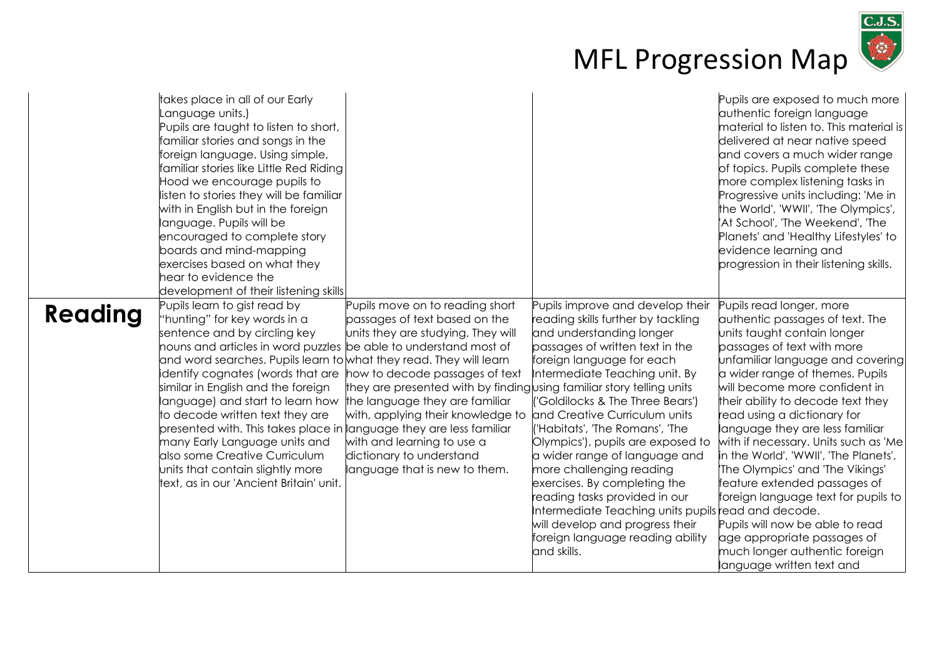

|         | takes place in all of our Early<br>anguage units.)<br>Pupils are taught to listen to short,<br>familiar stories and songs in the<br>foreign language. Using simple,<br>familiar stories like Little Red Riding<br>Hood we encourage pupils to<br>listen to stories they will be familiar<br>with in English but in the foreign<br>language. Pupils will be<br>encouraged to complete story<br>boards and mind-mapping<br>exercises based on what they<br>hear to evidence the<br>development of their listening skills                                                                                          |                                                                                                                                                                                                                                                                                                                                                                                     |                                                                                                                                                                                                                                                                                                                                                                                                                                                                                                                                                                                                                             | Pupils are exposed to much more<br>authentic foreign language<br>material to listen to. This material is<br>delivered at near native speed<br>and covers a much wider range<br>of topics. Pupils complete these<br>more complex listening tasks in<br>Progressive units including: 'Me in<br>the World', 'WWII', 'The Olympics',<br>At School', 'The Weekend', 'The'<br>Planets' and 'Healthy Lifestyles' to<br>evidence learning and<br>progression in their listening skills.                                                                                                                                                                                     |
|---------|-----------------------------------------------------------------------------------------------------------------------------------------------------------------------------------------------------------------------------------------------------------------------------------------------------------------------------------------------------------------------------------------------------------------------------------------------------------------------------------------------------------------------------------------------------------------------------------------------------------------|-------------------------------------------------------------------------------------------------------------------------------------------------------------------------------------------------------------------------------------------------------------------------------------------------------------------------------------------------------------------------------------|-----------------------------------------------------------------------------------------------------------------------------------------------------------------------------------------------------------------------------------------------------------------------------------------------------------------------------------------------------------------------------------------------------------------------------------------------------------------------------------------------------------------------------------------------------------------------------------------------------------------------------|---------------------------------------------------------------------------------------------------------------------------------------------------------------------------------------------------------------------------------------------------------------------------------------------------------------------------------------------------------------------------------------------------------------------------------------------------------------------------------------------------------------------------------------------------------------------------------------------------------------------------------------------------------------------|
| Reading | Pupils learn to gist read by<br>"hunting" for key words in a<br>sentence and by circling key<br>nouns and articles in word puzzles be able to understand most of<br>and word searches. Pupils learn to what they read. They will learn<br>identify cognates (words that are<br>similar in English and the foreign<br>language) and start to learn how<br>to decode written text they are<br>presented with. This takes place in anguage they are less familiar<br>many Early Language units and<br>also some Creative Curriculum<br>units that contain slightly more<br>text, as in our 'Ancient Britain' unit. | Pupils move on to reading short<br>passages of text based on the<br>units they are studying. They will<br>how to decode passages of text<br>they are presented with by finding using familiar story telling units<br>the language they are familiar<br>with, applying their knowledge to<br>with and learning to use a<br>dictionary to understand<br>language that is new to them. | Pupils improve and develop their<br>reading skills further by tackling<br>and understanding longer<br>passages of written text in the<br>foreign language for each<br>Intermediate Teaching unit. By<br>'Goldilocks & The Three Bears')<br>and Creative Curriculum units<br>('Habitats', 'The Romans', 'The<br>Olympics'), pupils are exposed to<br>a wider range of language and<br>more challenging reading<br>exercises. By completing the<br>reading tasks provided in our<br>Intermediate Teaching units pupils read and decode.<br>will develop and progress their<br>foreign language reading ability<br>and skills. | Pupils read longer, more<br>authentic passages of text. The<br>units taught contain longer<br>passages of text with more<br>unfamiliar language and covering<br>a wider range of themes. Pupils<br>will become more confident in<br>their ability to decode text they<br>read using a dictionary for<br>language they are less familiar<br>with if necessary. Units such as 'Me<br>in the World', 'WWII', 'The Planets',<br>'The Olympics' and 'The Vikings'<br>feature extended passages of<br>foreign language text for pupils to<br>Pupils will now be able to read<br>age appropriate passages of<br>much longer authentic foreign<br>language written text and |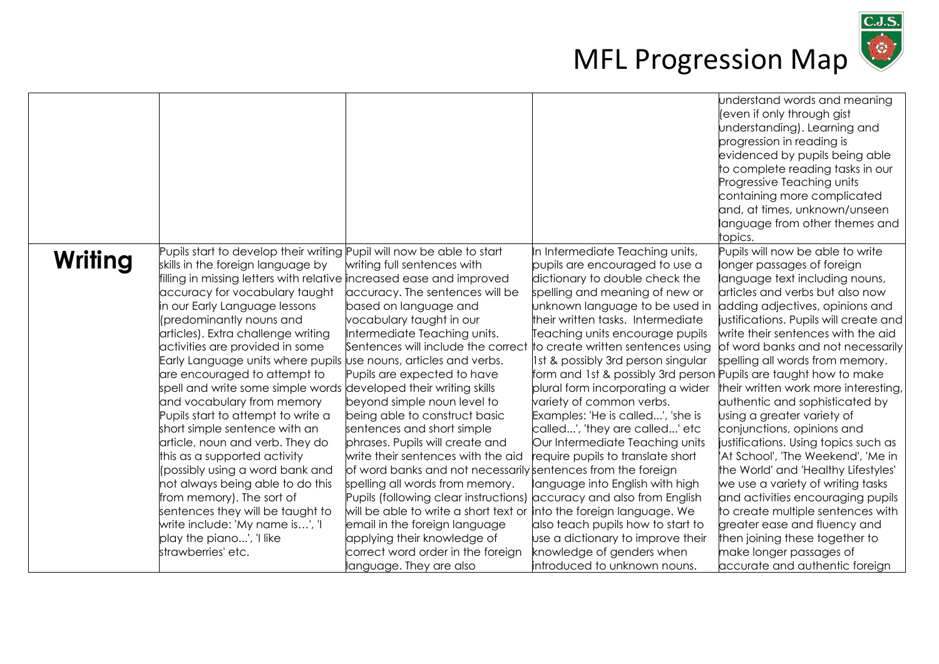

|         |                                                                       |                                                                       |                                                                      | understand words and meaning<br>(even if only through gist<br>understanding). Learning and<br>progression in reading is |
|---------|-----------------------------------------------------------------------|-----------------------------------------------------------------------|----------------------------------------------------------------------|-------------------------------------------------------------------------------------------------------------------------|
|         |                                                                       |                                                                       |                                                                      | evidenced by pupils being able                                                                                          |
|         |                                                                       |                                                                       |                                                                      | to complete reading tasks in our<br>Progressive Teaching units                                                          |
|         |                                                                       |                                                                       |                                                                      | containing more complicated                                                                                             |
|         |                                                                       |                                                                       |                                                                      | and, at times, unknown/unseen                                                                                           |
|         |                                                                       |                                                                       |                                                                      | language from other themes and                                                                                          |
|         |                                                                       |                                                                       |                                                                      | topics.                                                                                                                 |
| Writing | Pupils start to develop their writing Pupil will now be able to start |                                                                       | In Intermediate Teaching units,                                      | Pupils will now be able to write                                                                                        |
|         | skills in the foreign language by                                     | writing full sentences with                                           | pupils are encouraged to use a                                       | longer passages of foreign                                                                                              |
|         | filling in missing letters with relative increased ease and improved  |                                                                       | dictionary to double check the                                       | language text including nouns,                                                                                          |
|         | accuracy for vocabulary taught                                        | accuracy. The sentences will be                                       | spelling and meaning of new or                                       | articles and verbs but also now                                                                                         |
|         | in our Early Language lessons                                         | based on language and                                                 | unknown language to be used in                                       | adding adjectives, opinions and                                                                                         |
|         | (predominantly nouns and                                              | vocabulary taught in our                                              | their written tasks. Intermediate                                    | justifications. Pupils will create and                                                                                  |
|         | articles). Extra challenge writing                                    | Intermediate Teaching units.                                          | Teaching units encourage pupils                                      | write their sentences with the aid                                                                                      |
|         | activities are provided in some                                       | Sentences will include the correct                                    | to create written sentences using                                    | of word banks and not necessarily                                                                                       |
|         | Early Language units where pupils use nouns, articles and verbs.      |                                                                       | 1st & possibly 3rd person singular                                   | spelling all words from memory.                                                                                         |
|         | are encouraged to attempt to                                          | Pupils are expected to have                                           | form and 1st & possibly 3rd person Pupils are taught how to make     |                                                                                                                         |
|         | spell and write some simple words developed their writing skills      |                                                                       | plural form incorporating a wider                                    | their written work more interesting,                                                                                    |
|         | and vocabulary from memory                                            | beyond simple noun level to                                           | variety of common verbs.                                             | authentic and sophisticated by                                                                                          |
|         | Pupils start to attempt to write a                                    | being able to construct basic                                         | Examples: 'He is called', 'she is                                    | using a greater variety of                                                                                              |
|         | short simple sentence with an                                         | sentences and short simple                                            | called', 'they are called' etc                                       | conjunctions, opinions and                                                                                              |
|         | article, noun and verb. They do<br>this as a supported activity       | phrases. Pupils will create and<br>write their sentences with the aid | Our Intermediate Teaching units<br>require pupils to translate short | iustifications. Using topics such as<br>At School', 'The Weekend', 'Me in'                                              |
|         | (possibly using a word bank and                                       | of word banks and not necessarily sentences from the foreign          |                                                                      | the World' and 'Healthy Lifestyles'                                                                                     |
|         | not always being able to do this                                      | spelling all words from memory.                                       | language into English with high                                      | we use a variety of writing tasks                                                                                       |
|         | from memory). The sort of                                             | Pupils (following clear instructions) accuracy and also from English  |                                                                      | and activities encouraging pupils                                                                                       |
|         | sentences they will be taught to                                      | will be able to write a short text or                                 | into the foreign language. We                                        | to create multiple sentences with                                                                                       |
|         | write include: 'My name is', 'I                                       | email in the foreign language                                         | also teach pupils how to start to                                    | greater ease and fluency and                                                                                            |
|         | play the piano', 'I like                                              | applying their knowledge of                                           | use a dictionary to improve their                                    | then joining these together to                                                                                          |
|         | strawberries' etc.                                                    | correct word order in the foreign                                     | knowledge of genders when                                            | make longer passages of                                                                                                 |
|         |                                                                       | language. They are also                                               | introduced to unknown nouns.                                         | accurate and authentic foreign                                                                                          |
|         |                                                                       |                                                                       |                                                                      |                                                                                                                         |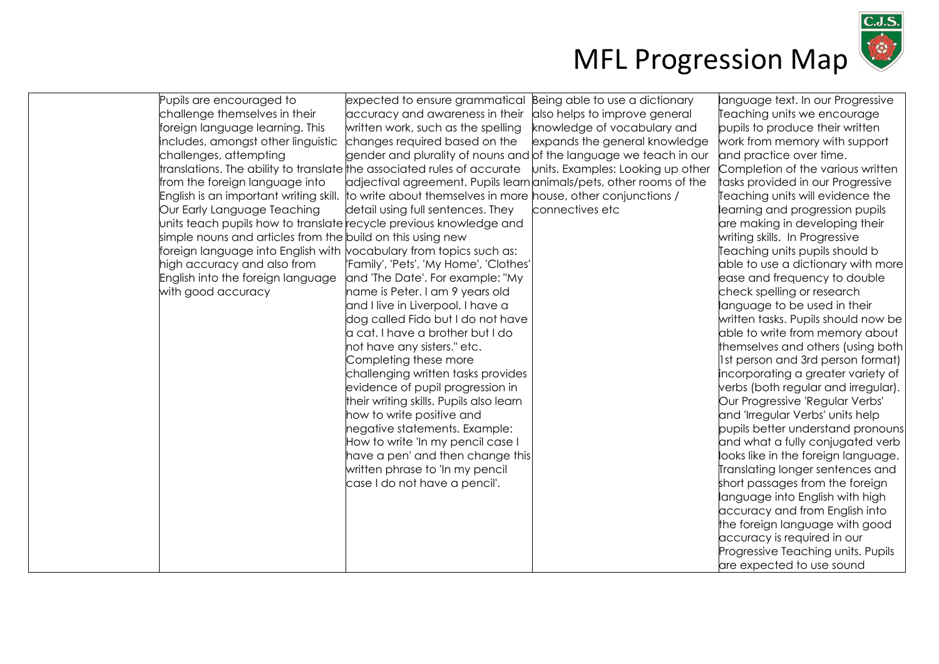

| Pupils are encouraged to                                   | expected to ensure grammatical                                                    | Being able to use a dictionary    | language text. In our Progressive   |
|------------------------------------------------------------|-----------------------------------------------------------------------------------|-----------------------------------|-------------------------------------|
| challenge themselves in their                              | accuracy and awareness in their                                                   | also helps to improve general     | Teaching units we encourage         |
| foreign language learning. This                            | written work, such as the spelling                                                | knowledge of vocabulary and       | pupils to produce their written     |
| includes, amongst other linguistic                         | changes required based on the                                                     | expands the general knowledge     | work from memory with support       |
| challenges, attempting                                     | gender and plurality of nouns and of the language we teach in our                 |                                   | and practice over time.             |
|                                                            | ranslations. The ability to translate the associated rules of accurate            | units. Examples: Looking up other | Completion of the various written   |
| rom the foreign language into                              | adjectival agreement. Pupils learn animals/pets, other rooms of the               |                                   | tasks provided in our Progressive   |
| English is an important writing skill.                     | to write about themselves in more house, other conjunctions /                     |                                   | Teaching units will evidence the    |
| Our Early Language Teaching                                | detail using full sentences. They                                                 | connectives etc                   | earning and progression pupils      |
|                                                            | units teach pupils how to translate recycle previous knowledge and                |                                   | are making in developing their      |
| simple nouns and articles from the build on this using new |                                                                                   |                                   | writing skills. In Progressive      |
|                                                            | foreign language into English with $\overline{b}$ vocabulary from topics such as: |                                   | Teaching units pupils should b      |
| high accuracy and also from                                | 'Family', 'Pets', 'My Home', 'Clothes'                                            |                                   | able to use a dictionary with more  |
| English into the foreign language                          | and 'The Date'. For example: "My                                                  |                                   | ease and frequency to double        |
| with good accuracy                                         | name is Peter. I am 9 years old                                                   |                                   | check spelling or research          |
|                                                            | and I live in Liverpool. I have a                                                 |                                   | language to be used in their        |
|                                                            | dog called Fido but I do not have                                                 |                                   | written tasks. Pupils should now be |
|                                                            | a cat. I have a brother but I do                                                  |                                   | able to write from memory about     |
|                                                            | not have any sisters." etc.                                                       |                                   | themselves and others (using both)  |
|                                                            | Completing these more                                                             |                                   | 1st person and 3rd person format)   |
|                                                            | challenging written tasks provides                                                |                                   | incorporating a greater variety of  |
|                                                            | evidence of pupil progression in                                                  |                                   | verbs (both regular and irregular). |
|                                                            | their writing skills. Pupils also learn                                           |                                   | Our Progressive 'Regular Verbs'     |
|                                                            | how to write positive and                                                         |                                   | and 'Irregular Verbs' units help    |
|                                                            | negative statements. Example:                                                     |                                   | pupils better understand pronouns   |
|                                                            | How to write 'In my pencil case I                                                 |                                   | and what a fully conjugated verb    |
|                                                            | have a pen' and then change this                                                  |                                   | looks like in the foreign language. |
|                                                            | written phrase to 'In my pencil                                                   |                                   | Translating longer sentences and    |
|                                                            | case I do not have a pencil'.                                                     |                                   | short passages from the foreign     |
|                                                            |                                                                                   |                                   | language into English with high     |
|                                                            |                                                                                   |                                   | accuracy and from English into      |
|                                                            |                                                                                   |                                   | the foreign language with good      |
|                                                            |                                                                                   |                                   | accuracy is required in our         |
|                                                            |                                                                                   |                                   | Progressive Teaching units. Pupils  |
|                                                            |                                                                                   |                                   | are expected to use sound           |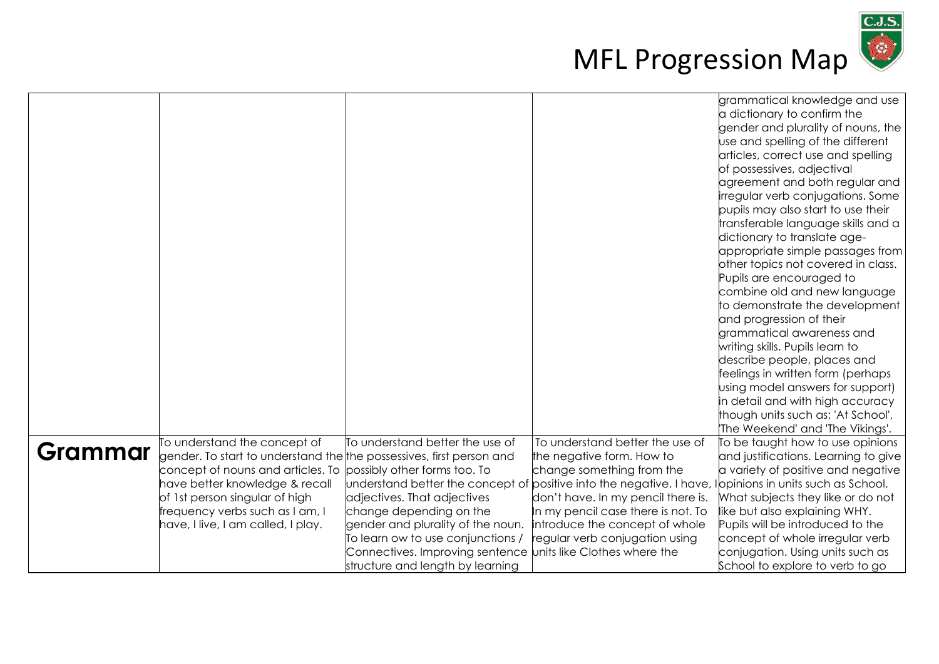

|         |                                                                              |                                                                      |                                    | grammatical knowledge and use        |
|---------|------------------------------------------------------------------------------|----------------------------------------------------------------------|------------------------------------|--------------------------------------|
|         |                                                                              |                                                                      |                                    | a dictionary to confirm the          |
|         |                                                                              |                                                                      |                                    | gender and plurality of nouns, the   |
|         |                                                                              |                                                                      |                                    | use and spelling of the different    |
|         |                                                                              |                                                                      |                                    | articles, correct use and spelling   |
|         |                                                                              |                                                                      |                                    | of possessives, adjectival           |
|         |                                                                              |                                                                      |                                    | agreement and both regular and       |
|         |                                                                              |                                                                      |                                    | irregular verb conjugations. Some    |
|         |                                                                              |                                                                      |                                    | pupils may also start to use their   |
|         |                                                                              |                                                                      |                                    | transferable language skills and a   |
|         |                                                                              |                                                                      |                                    | dictionary to translate age-         |
|         |                                                                              |                                                                      |                                    | appropriate simple passages from     |
|         |                                                                              |                                                                      |                                    | other topics not covered in class.   |
|         |                                                                              |                                                                      |                                    | Pupils are encouraged to             |
|         |                                                                              |                                                                      |                                    | combine old and new language         |
|         |                                                                              |                                                                      |                                    | to demonstrate the development       |
|         |                                                                              |                                                                      |                                    | and progression of their             |
|         |                                                                              |                                                                      |                                    | grammatical awareness and            |
|         |                                                                              |                                                                      |                                    | writing skills. Pupils learn to      |
|         |                                                                              |                                                                      |                                    | describe people, places and          |
|         |                                                                              |                                                                      |                                    | feelings in written form (perhaps    |
|         |                                                                              |                                                                      |                                    | using model answers for support)     |
|         |                                                                              |                                                                      |                                    | in detail and with high accuracy     |
|         |                                                                              |                                                                      |                                    | though units such as: 'At School',   |
|         |                                                                              |                                                                      |                                    | The Weekend' and 'The Vikings'.      |
| Grammar | To understand the concept of                                                 | To understand better the use of                                      | To understand better the use of    | To be taught how to use opinions     |
|         | gender. To start to understand the $\sharp$ he possessives, first person and |                                                                      | the negative form. How to          | and justifications. Learning to give |
|         | concept of nouns and articles. To possibly other forms too. To               |                                                                      | change something from the          | a variety of positive and negative   |
|         | have better knowledge & recall                                               | understand better the concept of positive into the negative. I have, |                                    | Ilopinions in units such as School.  |
|         | of 1st person singular of high                                               | adjectives. That adjectives                                          | don't have. In my pencil there is. | What subjects they like or do not    |
|         | frequency verbs such as I am, I                                              | change depending on the                                              | In my pencil case there is not. To | like but also explaining WHY.        |
|         | have, I live, I am called, I play.                                           | gender and plurality of the noun.                                    | introduce the concept of whole     | Pupils will be introduced to the     |
|         |                                                                              | To learn ow to use conjunctions /                                    | regular verb conjugation using     | concept of whole irregular verb      |
|         |                                                                              | Connectives. Improving sentence units like Clothes where the         |                                    | conjugation. Using units such as     |
|         |                                                                              | structure and length by learning                                     |                                    | School to explore to verb to go      |